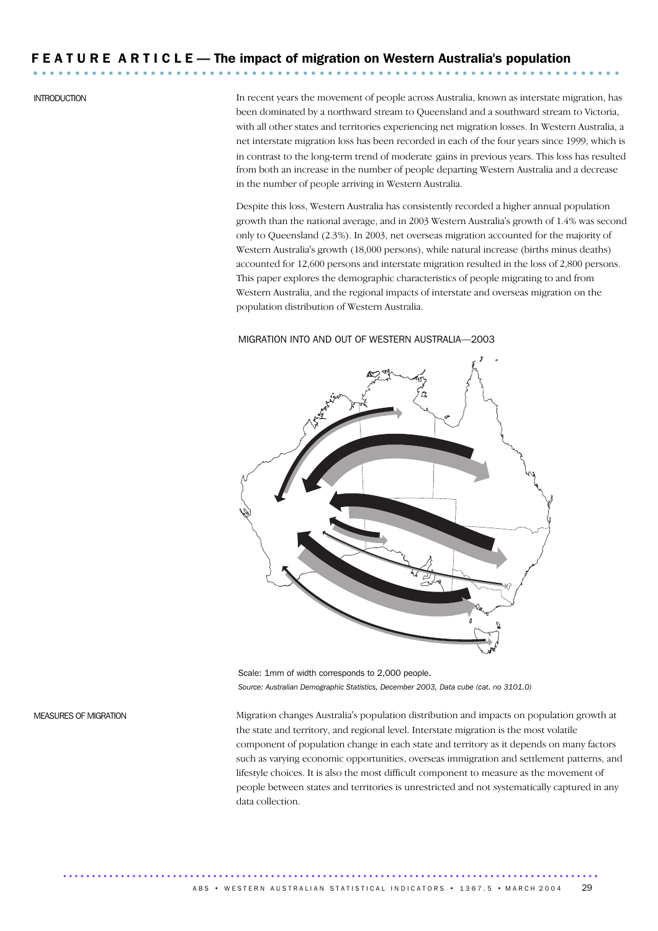# F E A T U R E A R T I C L E — The impact of migration on Western Australia's population ...................................................................... .

INTRODUCTION In recent years the movement of people across Australia, known as interstate migration, has been dominated by a northward stream to Queensland and a southward stream to Victoria, with all other states and territories experiencing net migration losses. In Western Australia, a net interstate migration loss has been recorded in each of the four years since 1999, which is in contrast to the long-term trend of moderate gains in previous years. This loss has resulted from both an increase in the number of people departing Western Australia and a decrease in the number of people arriving in Western Australia.

> Despite this loss, Western Australia has consistently recorded a higher annual population growth than the national average, and in 2003 Western Australia's growth of 1.4% was second only to Queensland (2.3%). In 2003, net overseas migration accounted for the majority of Western Australia's growth (18,000 persons), while natural increase (births minus deaths) accounted for 12,600 persons and interstate migration resulted in the loss of 2,800 persons. This paper explores the demographic characteristics of people migrating to and from Western Australia, and the regional impacts of interstate and overseas migration on the population distribution of Western Australia.

### MIGRATION INTO AND OUT OF WESTERN AUSTRALIA—2003



Scale: 1mm of width corresponds to 2,000 people. *Source: Australian Demographic Statistics, December 2003, Data cube (cat. no 3101.0)*

MEASURES OF MIGRATION Migration changes Australia's population distribution and impacts on population growth at the state and territory, and regional level. Interstate migration is the most volatile component of population change in each state and territory as it depends on many factors such as varying economic opportunities, overseas immigration and settlement patterns, and lifestyle choices. It is also the most difficult component to measure as the movement of people between states and territories is unrestricted and not systematically captured in any data collection.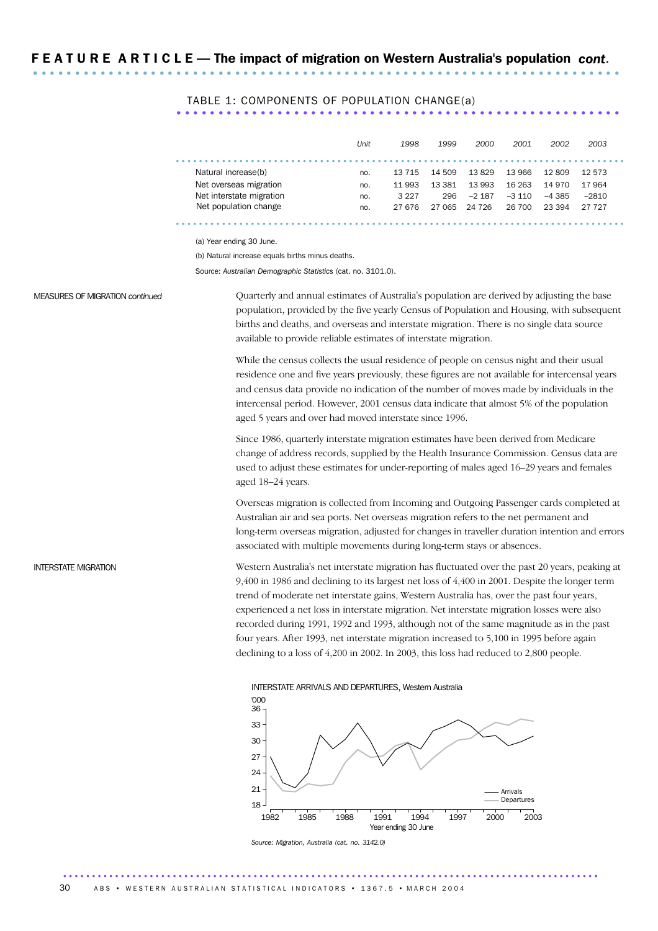TABLE 1: COMPONENTS OF POPULATION CHANGE(a)

|                          | Unit | 1998   | 1999   | 2000     | 2001     | 2002     | 2003    |
|--------------------------|------|--------|--------|----------|----------|----------|---------|
|                          |      |        |        |          |          |          |         |
| Natural increase(b)      | no.  | 13 715 | 14 509 | 13829    | 13 966   | 12809    | 12 573  |
| Net overseas migration   | no.  | 11 993 | 13 381 | 13 993   | 16 263   | 14 970   | 17964   |
| Net interstate migration | no.  | 3 227  | 296    | $-2.187$ | $-3,110$ | $-4.385$ | $-2810$ |
| Net population change    | no.  | 27 676 | 27 065 | 24 726   | 26 700   | 23 394   | 27 727  |
|                          |      |        |        |          |          |          |         |

(a) Year ending 30 June.

(b) Natural increase equals births minus deaths.

Source: *Australian Demographic Statistics* (cat. no. 3101.0).

MEASURES OF MIGRATION *continued* Quarterly and annual estimates of Australia's population are derived by adjusting the base population, provided by the five yearly Census of Population and Housing, with subsequent births and deaths, and overseas and interstate migration. There is no single data source available to provide reliable estimates of interstate migration.

> While the census collects the usual residence of people on census night and their usual residence one and five years previously, these figures are not available for intercensal years and census data provide no indication of the number of moves made by individuals in the intercensal period. However, 2001 census data indicate that almost 5% of the population aged 5 years and over had moved interstate since 1996.

> Since 1986, quarterly interstate migration estimates have been derived from Medicare change of address records, supplied by the Health Insurance Commission. Census data are used to adjust these estimates for under-reporting of males aged 16–29 years and females aged 18–24 years.

Overseas migration is collected from Incoming and Outgoing Passenger cards completed at Australian air and sea ports. Net overseas migration refers to the net permanent and long-term overseas migration, adjusted for changes in traveller duration intention and errors associated with multiple movements during long-term stays or absences.

INTERSTATE MIGRATION Western Australia's net interstate migration has fluctuated over the past 20 years, peaking at 9,400 in 1986 and declining to its largest net loss of 4,400 in 2001. Despite the longer term trend of moderate net interstate gains, Western Australia has, over the past four years, experienced a net loss in interstate migration. Net interstate migration losses were also recorded during 1991, 1992 and 1993, although not of the same magnitude as in the past four years. After 1993, net interstate migration increased to 5,100 in 1995 before again declining to a loss of 4,200 in 2002. In 2003, this loss had reduced to 2,800 people.



*Source: Migration, Australia (cat. no. 3142.0)*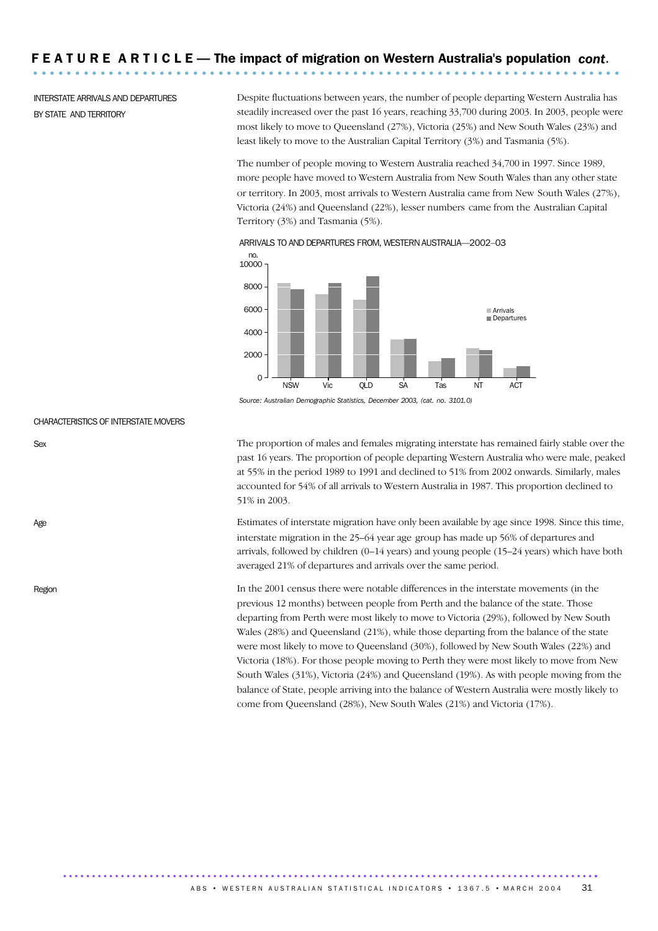INTERSTATE ARRIVALS AND DEPARTURES BY STATE AND TERRITORY

Despite fluctuations between years, the number of people departing Western Australia has steadily increased over the past 16 years, reaching 33,700 during 2003. In 2003, people were most likely to move to Queensland (27%), Victoria (25%) and New South Wales (23%) and least likely to move to the Australian Capital Territory (3%) and Tasmania (5%).

The number of people moving to Western Australia reached 34,700 in 1997. Since 1989, more people have moved to Western Australia from New South Wales than any other state or territory. In 2003, most arrivals to Western Australia came from New South Wales (27%), Victoria (24%) and Queensland (22%), lesser numbers came from the Australian Capital Territory (3%) and Tasmania (5%).



ARRIVALS TO AND DEPARTURES FROM, WESTERN AUSTRALIA—2002–03

*Source: Australian Demographic Statistics, December 2003, (cat. no. 3101.0)*

CHARACTERISTICS OF INTERSTATE MOVERS

Sex The proportion of males and females migrating interstate has remained fairly stable over the past 16 years. The proportion of people departing Western Australia who were male, peaked at 55% in the period 1989 to 1991 and declined to 51% from 2002 onwards. Similarly, males accounted for 54% of all arrivals to Western Australia in 1987. This proportion declined to 51% in 2003.

Age Estimates of interstate migration have only been available by age since 1998. Since this time, interstate migration in the 25–64 year age group has made up 56% of departures and arrivals, followed by children (0–14 years) and young people (15–24 years) which have both averaged 21% of departures and arrivals over the same period.

Region In the 2001 census there were notable differences in the interstate movements (in the previous 12 months) between people from Perth and the balance of the state. Those departing from Perth were most likely to move to Victoria (29%), followed by New South Wales (28%) and Queensland (21%), while those departing from the balance of the state were most likely to move to Queensland (30%), followed by New South Wales (22%) and Victoria (18%). For those people moving to Perth they were most likely to move from New South Wales (31%), Victoria (24%) and Queensland (19%). As with people moving from the balance of State, people arriving into the balance of Western Australia were mostly likely to come from Queensland (28%), New South Wales (21%) and Victoria (17%).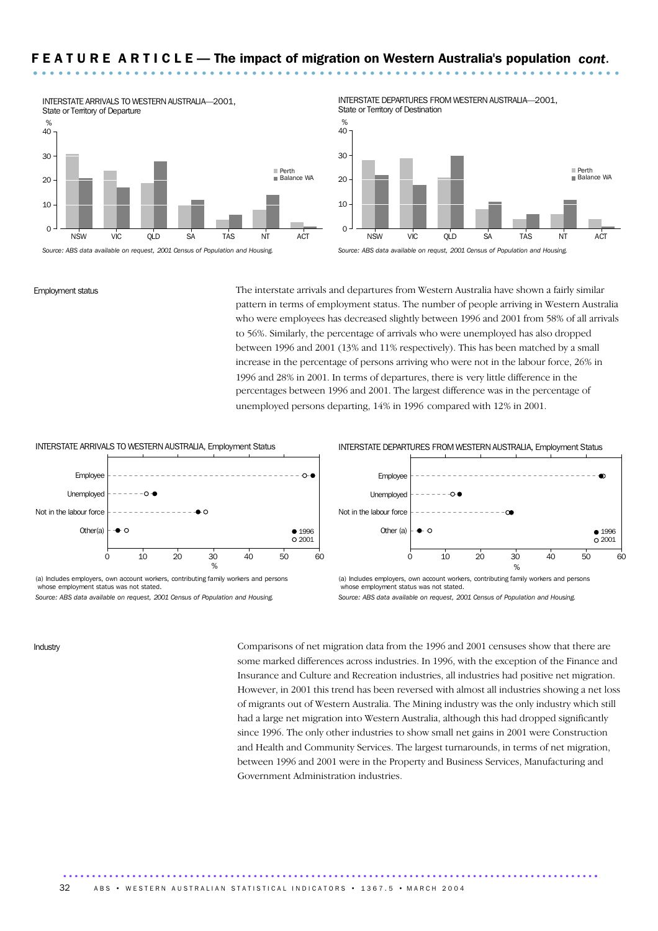

INTERSTATE DEPARTURES FROM WESTERN AUSTRALIA—2001, State or Territory of Destination



*Source: ABS data available on requst, 2001 Census of Population and Housing.*

Employment status The interstate arrivals and departures from Western Australia have shown a fairly similar pattern in terms of employment status. The number of people arriving in Western Australia who were employees has decreased slightly between 1996 and 2001 from 58% of all arrivals to 56%. Similarly, the percentage of arrivals who were unemployed has also dropped between 1996 and 2001 (13% and 11% respectively). This has been matched by a small increase in the percentage of persons arriving who were not in the labour force, 26% in 1996 and 28% in 2001. In terms of departures, there is very little difference in the percentages between 1996 and 2001. The largest difference was in the percentage of unemployed persons departing, 14% in 1996 compared with 12% in 2001.



(a) Includes employers, own account workers, contributing family workers and persons whose employment status was not stated.

*Source: ABS data available on request, 2001 Census of Population and Housing.*

INTERSTATE DEPARTURES FROM WESTERN AUSTRALIA, Employment Status



(a) Includes employers, own account workers, contributing family workers and persons whose employment status was not stated. *Source: ABS data available on request, 2001 Census of Population and Housing.*

Industry Comparisons of net migration data from the 1996 and 2001 censuses show that there are some marked differences across industries. In 1996, with the exception of the Finance and Insurance and Culture and Recreation industries, all industries had positive net migration. However, in 2001 this trend has been reversed with almost all industries showing a net loss of migrants out of Western Australia. The Mining industry was the only industry which still had a large net migration into Western Australia, although this had dropped significantly since 1996. The only other industries to show small net gains in 2001 were Construction and Health and Community Services. The largest turnarounds, in terms of net migration, between 1996 and 2001 were in the Property and Business Services, Manufacturing and Government Administration industries.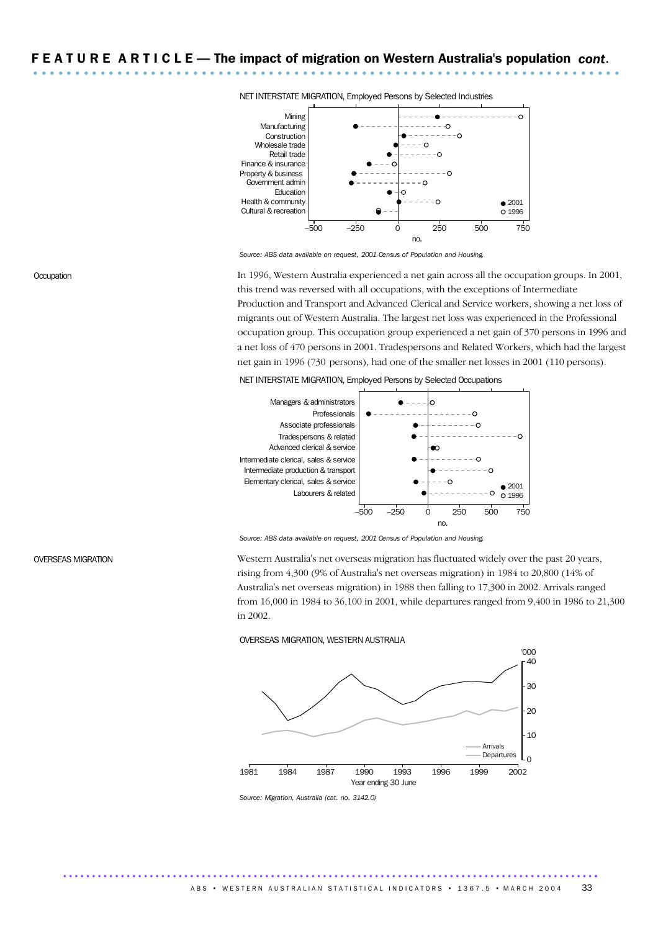

NET INTERSTATE MIGRATION, Employed Persons by Selected Industries

*Source: ABS data available on request, 2001 Census of Population and Housing.*

Occupation In 1996, Western Australia experienced a net gain across all the occupation groups. In 2001, this trend was reversed with all occupations, with the exceptions of Intermediate Production and Transport and Advanced Clerical and Service workers, showing a net loss of migrants out of Western Australia. The largest net loss was experienced in the Professional occupation group. This occupation group experienced a net gain of 370 persons in 1996 and a net loss of 470 persons in 2001. Tradespersons and Related Workers, which had the largest net gain in 1996 (730 persons), had one of the smaller net losses in 2001 (110 persons).

### NET INTERSTATE MIGRATION, Employed Persons by Selected Occupations



*Source: ABS data available on request, 2001 Census of Population and Housing.*

OVERSEAS MIGRATION Western Australia's net overseas migration has fluctuated widely over the past 20 years, rising from 4,300 (9% of Australia's net overseas migration) in 1984 to 20,800 (14% of Australia's net overseas migration) in 1988 then falling to 17,300 in 2002. Arrivals ranged from 16,000 in 1984 to 36,100 in 2001, while departures ranged from 9,400 in 1986 to 21,300 in 2002.

### OVERSEAS MIGRATION, WESTERN AUSTRALIA



*Source: Migration, Australia (cat. no. 3142.0)*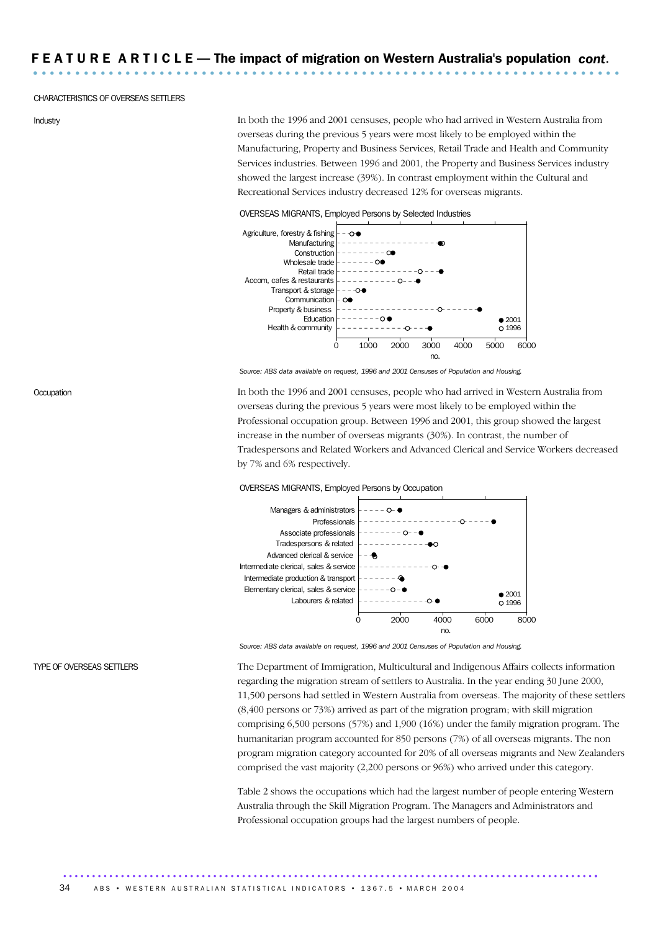### CHARACTERISTICS OF OVERSEAS SETTLERS

Industry In both the 1996 and 2001 censuses, people who had arrived in Western Australia from overseas during the previous 5 years were most likely to be employed within the Manufacturing, Property and Business Services, Retail Trade and Health and Community Services industries. Between 1996 and 2001, the Property and Business Services industry showed the largest increase (39%). In contrast employment within the Cultural and Recreational Services industry decreased 12% for overseas migrants.

### OVERSEAS MIGRANTS, Employed Persons by Selected Industries



*Source: ABS data available on request, 1996 and 2001 Censuses of Population and Housing.*

Occupation In both the 1996 and 2001 censuses, people who had arrived in Western Australia from overseas during the previous 5 years were most likely to be employed within the Professional occupation group. Between 1996 and 2001, this group showed the largest increase in the number of overseas migrants (30%). In contrast, the number of Tradespersons and Related Workers and Advanced Clerical and Service Workers decreased by 7% and 6% respectively.

### OVERSEAS MIGRANTS, Employed Persons by Occupation



*Source: ABS data available on request, 1996 and 2001 Censuses of Population and Housing.*

TYPE OF OVERSEAS SETTLERS The Department of Immigration, Multicultural and Indigenous Affairs collects information regarding the migration stream of settlers to Australia. In the year ending 30 June 2000, 11,500 persons had settled in Western Australia from overseas. The majority of these settlers (8,400 persons or 73%) arrived as part of the migration program; with skill migration comprising 6,500 persons (57%) and 1,900 (16%) under the family migration program. The humanitarian program accounted for 850 persons (7%) of all overseas migrants. The non program migration category accounted for 20% of all overseas migrants and New Zealanders comprised the vast majority (2,200 persons or 96%) who arrived under this category.

> Table 2 shows the occupations which had the largest number of people entering Western Australia through the Skill Migration Program. The Managers and Administrators and Professional occupation groups had the largest numbers of people.